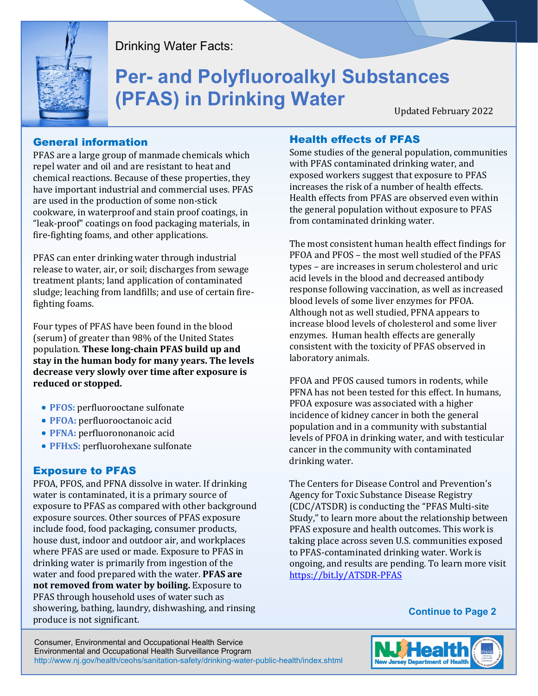

Drinking Water Facts:

# **Per- and Polyfluoroalkyl Substances (PFAS) in Drinking Water**

Updated February 2022

## General information

PFAS are a large group of manmade chemicals which repel water and oil and are resistant to heat and chemical reactions. Because of these properties, they have important industrial and commercial uses. PFAS are used in the production of some non-stick cookware, in waterproof and stain proof coatings, in "leak-proof" coatings on food packaging materials, in fire-fighting foams, and other applications.

PFAS can enter drinking water through industrial release to water, air, or soil; discharges from sewage treatment plants; land application of contaminated sludge; leaching from landfills; and use of certain firefighting foams.

Four types of PFAS have been found in the blood (serum) of greater than 98% of the United States population. **These long-chain PFAS build up and stay in the human body for many years. The levels decrease very slowly over time after exposure is reduced or stopped.**

- **PFOS:** perfluorooctane sulfonate
- **PFOA:** perfluorooctanoic acid
- **PFNA:** perfluorononanoic acid
- **PFHxS:** perfluorohexane sulfonate

# Exposure to PFAS

PFOA, PFOS, and PFNA dissolve in water. If drinking water is contaminated, it is a primary source of exposure to PFAS as compared with other background exposure sources. Other sources of PFAS exposure include food, food packaging, consumer products, house dust, indoor and outdoor air, and workplaces where PFAS are used or made. Exposure to PFAS in drinking water is primarily from ingestion of the water and food prepared with the water. **PFAS are not removed from water by boiling.** Exposure to PFAS through household uses of water such as showering, bathing, laundry, dishwashing, and rinsing produce is not significant.

# Health effects of PFAS

Some studies of the general population, communities with PFAS contaminated drinking water, and exposed workers suggest that exposure to PFAS increases the risk of a number of health effects. Health effects from PFAS are observed even within the general population without exposure to PFAS from contaminated drinking water.

The most consistent human health effect findings for PFOA and PFOS – the most well studied of the PFAS types – are increases in serum cholesterol and uric acid levels in the blood and decreased antibody response following vaccination, as well as increased blood levels of some liver enzymes for PFOA. Although not as well studied, PFNA appears to increase blood levels of cholesterol and some liver enzymes. Human health effects are generally consistent with the toxicity of PFAS observed in laboratory animals.

PFOA and PFOS caused tumors in rodents, while PFNA has not been tested for this effect. In humans, PFOA exposure was associated with a higher incidence of kidney cancer in both the general population and in a community with substantial levels of PFOA in drinking water, and with testicular cancer in the community with contaminated drinking water.

The Centers for Disease Control and Prevention's Agency for Toxic Substance Disease Registry (CDC/ATSDR) is conducting the "PFAS Multi-site Study," to learn more about the relationship between PFAS exposure and health outcomes. This work is taking place across seven U.S. communities exposed to PFAS-contaminated drinking water. Work is ongoing, and results are pending. To learn more visit <https://bit.ly/ATSDR-PFAS>

**Continue to Page 2**

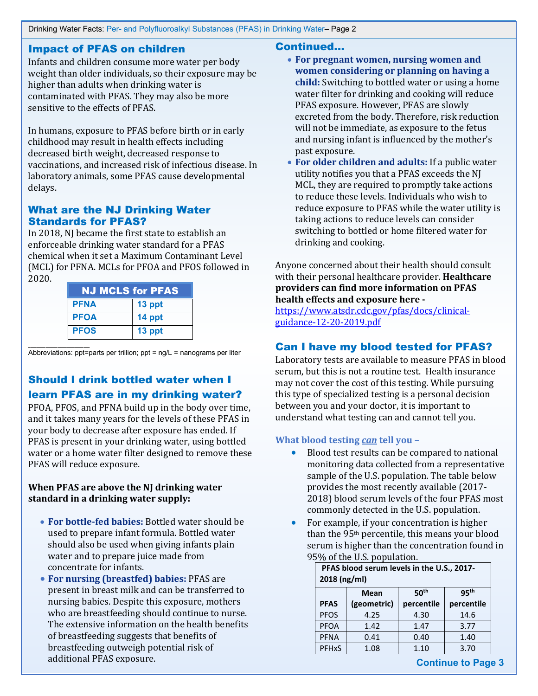## Impact of PFAS on children

Infants and children consume more water per body weight than older individuals, so their exposure may be higher than adults when drinking water is contaminated with PFAS. They may also be more sensitive to the effects of PFAS.

In humans, exposure to PFAS before birth or in early childhood may result in health effects including decreased birth weight, decreased response to vaccinations, and increased risk of infectious disease. In laboratory animals, some PFAS cause developmental delays.

## What are the NJ Drinking Water Standards for PFAS?

In 2018, NJ became the first state to establish an enforceable drinking water standard for a PFAS chemical when it set a Maximum Contaminant Level (MCL) for PFNA. MCLs for PFOA and PFOS followed in 2020.

| <b>NJ MCLS for PFAS</b> |        |  |  |
|-------------------------|--------|--|--|
| <b>PFNA</b>             | 13 ppt |  |  |
| <b>PFOA</b>             | 14 ppt |  |  |
| <b>PFOS</b>             | 13 ppt |  |  |

\_\_\_\_\_\_\_\_\_\_\_\_\_\_\_\_\_\_\_\_\_ Abbreviations: ppt=parts per trillion; ppt = ng/L = nanograms per liter

# Should I drink bottled water when I learn PFAS are in my drinking water?

PFOA, PFOS, and PFNA build up in the body over time, and it takes many years for the levels of these PFAS in your body to decrease after exposure has ended. If PFAS is present in your drinking water, using bottled water or a home water filter designed to remove these PFAS will reduce exposure.

## **When PFAS are above the NJ drinking water standard in a drinking water supply:**

- **For bottle-fed babies:** Bottled water should be used to prepare infant formula. Bottled water should also be used when giving infants plain water and to prepare juice made from concentrate for infants.
- **For nursing (breastfed) babies:** PFAS are present in breast milk and can be transferred to nursing babies. Despite this exposure, mothers who are breastfeeding should continue to nurse. The extensive information on the health benefits of breastfeeding suggests that benefits of breastfeeding outweigh potential risk of additional PFAS exposure.

## Continued…

- **For pregnant women, nursing women and women considering or planning on having a child:** Switching to bottled water or using a home water filter for drinking and cooking will reduce PFAS exposure. However, PFAS are slowly excreted from the body. Therefore, risk reduction will not be immediate, as exposure to the fetus and nursing infant is influenced by the mother's past exposure.
- **For older children and adults:** If a public water utility notifies you that a PFAS exceeds the NJ MCL, they are required to promptly take actions to reduce these levels. Individuals who wish to reduce exposure to PFAS while the water utility is taking actions to reduce levels can consider switching to bottled or home filtered water for drinking and cooking.

Anyone concerned about their health should consult with their personal healthcare provider. **Healthcare providers can find more information on PFAS health effects and exposure here -**

[https://www.atsdr.cdc.gov/pfas/docs/clinical](https://www.atsdr.cdc.gov/pfas/docs/clinical-guidance-12-20-2019.pdf)[guidance-12-20-2019.pdf](https://www.atsdr.cdc.gov/pfas/docs/clinical-guidance-12-20-2019.pdf)

# Can I have my blood tested for PFAS?

Laboratory tests are available to measure PFAS in blood serum, but this is not a routine test. Health insurance may not cover the cost of this testing. While pursuing this type of specialized testing is a personal decision between you and your doctor, it is important to understand what testing can and cannot tell you.

## **What blood testing** *can* **tell you –**

- Blood test results can be compared to national monitoring data collected from a representative sample of the U.S. population. The table below provides the most recently available (2017- 2018) blood serum levels of the four PFAS most commonly detected in the U.S. population.
- For example, if your concentration is higher than the 95th percentile, this means your blood serum is higher than the concentration found in 95% of the U.S. population.

| PFAS blood serum levels in the U.S., 2017-<br>2018 (ng/ml) |             |                  |                  |  |
|------------------------------------------------------------|-------------|------------------|------------------|--|
|                                                            | <b>Mean</b> | 50 <sup>th</sup> | 95 <sup>th</sup> |  |
| <b>PFAS</b>                                                | (geometric) | percentile       | percentile       |  |
| <b>PFOS</b>                                                | 4.25        | 4.30             | 14.6             |  |
| <b>PFOA</b>                                                | 1.42        | 1.47             | 3.77             |  |
| <b>PFNA</b>                                                | 0.41        | 0.40             | 1.40             |  |
| <b>PFHxS</b>                                               | 1.08        | 1.10             | 3.70             |  |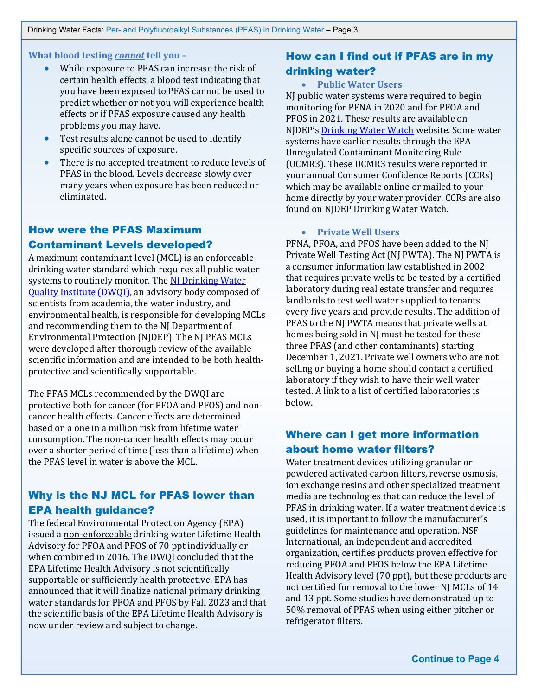**What blood testing** *cannot* **tell you –**

- While exposure to PFAS can increase the risk of certain health effects, a blood test indicating that you have been exposed to PFAS cannot be used to predict whether or not you will experience health effects or if PFAS exposure caused any health problems you may have.
- Test results alone cannot be used to identify specific sources of exposure.
- There is no accepted treatment to reduce levels of PFAS in the blood. Levels decrease slowly over many years when exposure has been reduced or eliminated.

# How were the PFAS Maximum Contaminant Levels developed?

A maximum contaminant level (MCL) is an enforceable drinking water standard which requires all public water systems to routinely monitor. The NJ Drinking Water [Quality Institute \(DWQI\),](https://www.state.nj.us/dep/watersupply/g_boards_dwqi.html) an advisory body composed of scientists from academia, the water industry, and environmental health, is responsible for developing MCLs and recommending them to the NJ Department of Environmental Protection (NJDEP). The NJ PFAS MCLs were developed after thorough review of the available scientific information and are intended to be both healthprotective and scientifically supportable.

The PFAS MCLs recommended by the DWQI are protective both for cancer (for PFOA and PFOS) and noncancer health effects. Cancer effects are determined based on a one in a million risk from lifetime water consumption. The non-cancer health effects may occur over a shorter period of time (less than a lifetime) when the PFAS level in water is above the MCL.

# Why is the NJ MCL for PFAS lower than EPA health guidance?

The federal Environmental Protection Agency (EPA) issued a non-enforceable drinking water Lifetime Health Advisory for PFOA and PFOS of 70 ppt individually or when combined in 2016. The DWQI concluded that the EPA Lifetime Health Advisory is not scientifically supportable or sufficiently health protective. EPA has announced that it will finalize national primary drinking water standards for PFOA and PFOS by Fall 2023 and that the scientific basis of the EPA Lifetime Health Advisory is now under review and subject to change.

# How can I find out if PFAS are in my drinking water?

#### • **Public Water Users**

NJ public water systems were required to begin monitoring for PFNA in 2020 and for PFOA and PFOS in 2021. These results are available on NJDEP'[s Drinking Water Watch](https://www9.state.nj.us/DEP_WaterWatch_public/) website. Some water systems have earlier results through the EPA Unregulated Contaminant Monitoring Rule (UCMR3). These UCMR3 results were reported in your annual Consumer Confidence Reports (CCRs) which may be available online or mailed to your home directly by your water provider. CCRs are also found on NJDEP Drinking Water Watch.

#### • **Private Well Users**

PFNA, PFOA, and PFOS have been added to the NJ Private Well Testing Act (NJ PWTA). The NJ PWTA is a consumer information law established in 2002 that requires private wells to be tested by a certified laboratory during real estate transfer and requires landlords to test well water supplied to tenants every five years and provide results. The addition of PFAS to the NJ PWTA means that private wells at homes being sold in NJ must be tested for these three PFAS (and other contaminants) starting December 1, 2021. Private well owners who are not selling or buying a home should contact a certified laboratory if they wish to have their well water tested. A link to a list of certified laboratories is below.

# Where can I get more information about home water filters?

Water treatment devices utilizing granular or powdered activated carbon filters, reverse osmosis, ion exchange resins and other specialized treatment media are technologies that can reduce the level of PFAS in drinking water. If a water treatment device is used, it is important to follow the manufacturer's guidelines for maintenance and operation. NSF International, an independent and accredited organization, certifies products proven effective for reducing PFOA and PFOS below the EPA Lifetime Health Advisory level (70 ppt), but these products are not certified for removal to the lower NJ MCLs of 14 and 13 ppt. Some studies have demonstrated up to 50% removal of PFAS when using either pitcher or refrigerator filters.